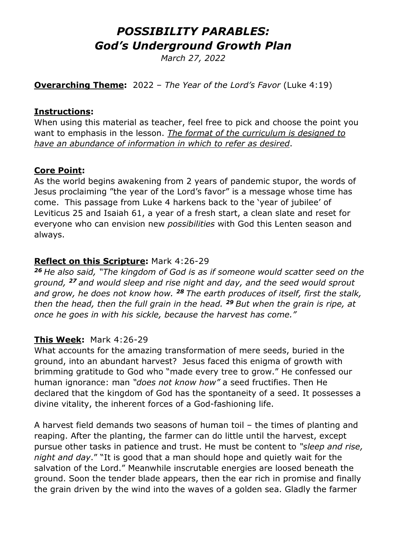# *POSSIBILITY PARABLES: God's Underground Growth Plan*

*March 27, 2022* 

**Overarching Theme:** 2022 – *The Year of the Lord's Favor* (Luke 4:19)

#### **Instructions:**

When using this material as teacher, feel free to pick and choose the point you want to emphasis in the lesson. *The format of the curriculum is designed to have an abundance of information in which to refer as desired*.

#### **Core Point:**

As the world begins awakening from 2 years of pandemic stupor, the words of Jesus proclaiming "the year of the Lord's favor" is a message whose time has come. This passage from Luke 4 harkens back to the 'year of jubilee' of Leviticus 25 and Isaiah 61, a year of a fresh start, a clean slate and reset for everyone who can envision new *possibilities* with God this Lenten season and always.

### **Reflect on this Scripture:** Mark 4:26-29

*<sup>26</sup> He also said, "The kingdom of God is as if someone would scatter seed on the ground, <sup>27</sup> and would sleep and rise night and day, and the seed would sprout and grow, he does not know how. <sup>28</sup> The earth produces of itself, first the stalk, then the head, then the full grain in the head. <sup>29</sup> But when the grain is ripe, at once he goes in with his sickle, because the harvest has come."*

# **This Week:** Mark 4:26-29

What accounts for the amazing transformation of mere seeds, buried in the ground, into an abundant harvest? Jesus faced this enigma of growth with brimming gratitude to God who "made every tree to grow." He confessed our human ignorance: man *"does not know how"* a seed fructifies. Then He declared that the kingdom of God has the spontaneity of a seed. It possesses a divine vitality, the inherent forces of a God-fashioning life.

A harvest field demands two seasons of human toil – the times of planting and reaping. After the planting, the farmer can do little until the harvest, except pursue other tasks in patience and trust. He must be content to *"sleep and rise, night and day*." "It is good that a man should hope and quietly wait for the salvation of the Lord." Meanwhile inscrutable energies are loosed beneath the ground. Soon the tender blade appears, then the ear rich in promise and finally the grain driven by the wind into the waves of a golden sea. Gladly the farmer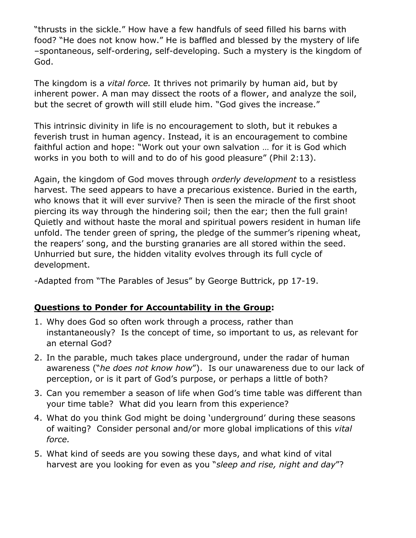"thrusts in the sickle." How have a few handfuls of seed filled his barns with food? "He does not know how." He is baffled and blessed by the mystery of life –spontaneous, self-ordering, self-developing. Such a mystery is the kingdom of God.

The kingdom is a *vital force.* It thrives not primarily by human aid, but by inherent power. A man may dissect the roots of a flower, and analyze the soil, but the secret of growth will still elude him. "God gives the increase."

This intrinsic divinity in life is no encouragement to sloth, but it rebukes a feverish trust in human agency. Instead, it is an encouragement to combine faithful action and hope: "Work out your own salvation … for it is God which works in you both to will and to do of his good pleasure" (Phil 2:13).

Again, the kingdom of God moves through *orderly development* to a resistless harvest. The seed appears to have a precarious existence. Buried in the earth, who knows that it will ever survive? Then is seen the miracle of the first shoot piercing its way through the hindering soil; then the ear; then the full grain! Quietly and without haste the moral and spiritual powers resident in human life unfold. The tender green of spring, the pledge of the summer's ripening wheat, the reapers' song, and the bursting granaries are all stored within the seed. Unhurried but sure, the hidden vitality evolves through its full cycle of development.

-Adapted from "The Parables of Jesus" by George Buttrick, pp 17-19.

# **Questions to Ponder for Accountability in the Group:**

- 1. Why does God so often work through a process, rather than instantaneously? Is the concept of time, so important to us, as relevant for an eternal God?
- 2. In the parable, much takes place underground, under the radar of human awareness ("*he does not know how*"). Is our unawareness due to our lack of perception, or is it part of God's purpose, or perhaps a little of both?
- 3. Can you remember a season of life when God's time table was different than your time table? What did you learn from this experience?
- 4. What do you think God might be doing 'underground' during these seasons of waiting? Consider personal and/or more global implications of this *vital force.*
- 5. What kind of seeds are you sowing these days, and what kind of vital harvest are you looking for even as you "*sleep and rise, night and day*"?